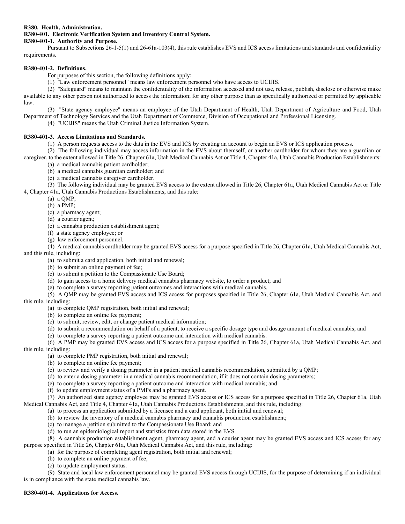# **R380. Health, Administration. R380-401. Electronic Verification System and Inventory Control System.**

## **R380-401-1. Authority and Purpose.**

Pursuant to Subsections 26-1-5(1) and 26-61a-103(4), this rule establishes EVS and ICS access limitations and standards and confidentiality requirements.

### **R380-401-2. Definitions.**

For purposes of this section, the following definitions apply:

(1) "Law enforcement personnel" means law enforcement personnel who have access to UCIJIS.

(2) "Safeguard" means to maintain the confidentiality of the information accessed and not use, release, publish, disclose or otherwise make available to any other person not authorized to access the information; for any other purpose than as specifically authorized or permitted by applicable law.

(3) "State agency employee" means an employee of the Utah Department of Health, Utah Department of Agriculture and Food, Utah

Department of Technology Services and the Utah Department of Commerce, Division of Occupational and Professional Licensing.

(4) "UCIJIS" means the Utah Criminal Justice Information System.

#### **R380-401-3. Access Limitations and Standards.**

(1) A person requests access to the data in the EVS and ICS by creating an account to begin an EVS or ICS application process.

(2) The following individual may access information in the EVS about themself, or another cardholder for whom they are a guardian or caregiver, to the extent allowed in Title 26, Chapter 61a, Utah Medical Cannabis Act or Title 4, Chapter 41a, Utah Cannabis Production Establishments:

(a) a medical cannabis patient cardholder;

- (b) a medical cannabis guardian cardholder; and
- (c) a medical cannabis caregiver cardholder.

(3) The following individual may be granted EVS access to the extent allowed in Title 26, Chapter 61a, Utah Medical Cannabis Act or Title 4, Chapter 41a, Utah Cannabis Productions Establishments, and this rule:

(a) a QMP;

(b) a PMP;

(c) a pharmacy agent;

(d) a courier agent;

(e) a cannabis production establishment agent;

- (f) a state agency employee; or
- (g) law enforcement personnel.

(4) A medical cannabis cardholder may be granted EVS access for a purpose specified in Title 26, Chapter 61a, Utah Medical Cannabis Act, and this rule, including:

(a) to submit a card application, both initial and renewal;

(b) to submit an online payment of fee;

- (c) to submit a petition to the Compassionate Use Board;
- (d) to gain access to a home delivery medical cannabis pharmacy website, to order a product; and
- (e) to complete a survey reporting patient outcomes and interactions with medical cannabis.

(5) A QMP may be granted EVS access and ICS access for purposes specified in Title 26, Chapter 61a, Utah Medical Cannabis Act, and this rule, including:

(a) to complete QMP registration, both initial and renewal;

(b) to complete an online fee payment;

(c) to submit, review, edit, or change patient medical information;

- (d) to submit a recommendation on behalf of a patient, to receive a specific dosage type and dosage amount of medical cannabis; and
- (e) to complete a survey reporting a patient outcome and interaction with medical cannabis.

(6) A PMP may be granted EVS access and ICS access for a purpose specified in Title 26, Chapter 61a, Utah Medical Cannabis Act, and this rule, including:

(a) to complete PMP registration, both initial and renewal;

- (b) to complete an online fee payment;
- (c) to review and verify a dosing parameter in a patient medical cannabis recommendation, submitted by a QMP;
- (d) to enter a dosing parameter in a medical cannabis recommendation, if it does not contain dosing parameters;
- (e) to complete a survey reporting a patient outcome and interaction with medical cannabis; and
- (f) to update employment status of a PMPs and a pharmacy agent.

(7) An authorized state agency employee may be granted EVS access or ICS access for a purpose specified in Title 26, Chapter 61a, Utah Medical Cannabis Act, and Title 4, Chapter 41a, Utah Cannabis Productions Establishments, and this rule, including:

- (a) to process an application submitted by a licensee and a card applicant, both initial and renewal;
- (b) to review the inventory of a medical cannabis pharmacy and cannabis production establishment;
- (c) to manage a petition submitted to the Compassionate Use Board; and
- (d) to run an epidemiological report and statistics from data stored in the EVS.

(8) A cannabis production establishment agent, pharmacy agent, and a courier agent may be granted EVS access and ICS access for any purpose specified in Title 26, Chapter 61a, Utah Medical Cannabis Act, and this rule, including:

(a) for the purpose of completing agent registration, both initial and renewal;

- (b) to complete an online payment of fee;
- (c) to update employment status.

(9) State and local law enforcement personnel may be granted EVS access through UCIJIS, for the purpose of determining if an individual is in compliance with the state medical cannabis law.

## **R380-401-4. Applications for Access.**